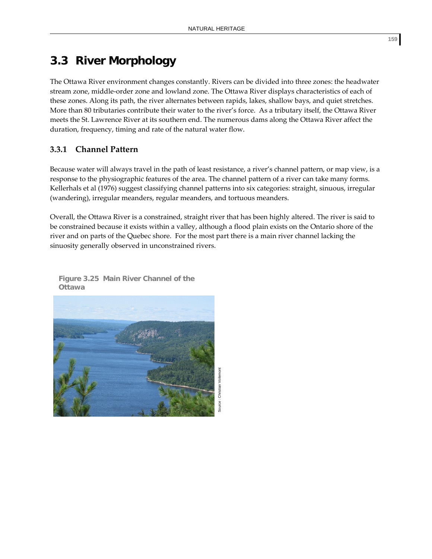# **3.3 River Morphology**

The Ottawa River environment changes constantly. Rivers can be divided into three zones: the headwater stream zone, middle‐order zone and lowland zone. The Ottawa River displays characteristics of each of these zones. Along its path, the river alternates between rapids, lakes, shallow bays, and quiet stretches. More than 80 tributaries contribute their water to the river's force. As a tributary itself, the Ottawa River meets the St. Lawrence River at its southern end. The numerous dams along the Ottawa River affect the duration, frequency, timing and rate of the natural water flow.

# **3.3.1 Channel Pattern**

Because water will always travel in the path of least resistance, a river's channel pattern, or map view, is a response to the physiographic features of the area. The channel pattern of a river can take many forms. Kellerhals et al (1976) suggest classifying channel patterns into six categories: straight, sinuous, irregular (wandering), irregular meanders, regular meanders, and tortuous meanders.

Overall, the Ottawa River is a constrained, straight river that has been highly altered. The river is said to be constrained because it exists within a valley, although a flood plain exists on the Ontario shore of the river and on parts of the Quebec shore. For the most part there is a main river channel lacking the sinuosity generally observed in unconstrained rivers.



**Figure 3.25 Main River Channel of the Ottawa**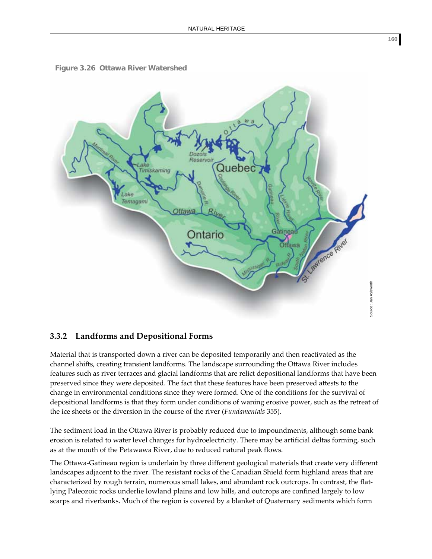



#### **3.3.2 Landforms and Depositional Forms**

Material that is transported down a river can be deposited temporarily and then reactivated as the channel shifts, creating transient landforms. The landscape surrounding the Ottawa River includes features such as river terraces and glacial landforms that are relict depositional landforms that have been preserved since they were deposited. The fact that these features have been preserved attests to the change in environmental conditions since they were formed. One of the conditions for the survival of depositional landforms is that they form under conditions of waning erosive power, such as the retreat of the ice sheets or the diversion in the course of the river (*Fundamentals* 355).

The sediment load in the Ottawa River is probably reduced due to impoundments, although some bank erosion is related to water level changes for hydroelectricity. There may be artificial deltas forming, such as at the mouth of the Petawawa River, due to reduced natural peak flows.

The Ottawa‐Gatineau region is underlain by three different geological materials that create very different landscapes adjacent to the river. The resistant rocks of the Canadian Shield form highland areas that are characterized by rough terrain, numerous small lakes, and abundant rock outcrops. In contrast, the flat‐ lying Paleozoic rocks underlie lowland plains and low hills, and outcrops are confined largely to low scarps and riverbanks. Much of the region is covered by a blanket of Quaternary sediments which form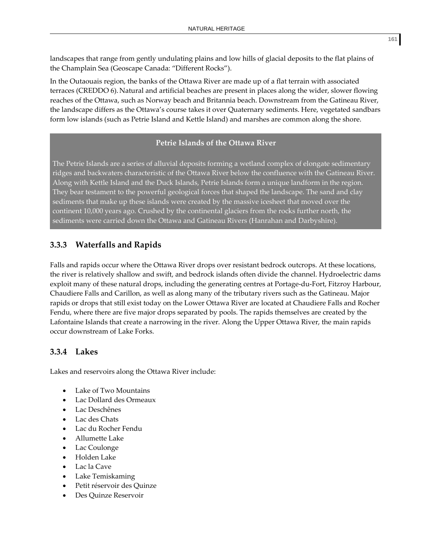landscapes that range from gently undulating plains and low hills of glacial deposits to the flat plains of the Champlain Sea (Geoscape Canada: "Different Rocks").

In the Outaouais region, the banks of the Ottawa River are made up of a flat terrain with associated terraces (CREDDO 6). Natural and artificial beaches are present in places along the wider, slower flowing reaches of the Ottawa, such as Norway beach and Britannia beach. Downstream from the Gatineau River, the landscape differs as the Ottawa's course takes it over Quaternary sediments. Here, vegetated sandbars form low islands (such as Petrie Island and Kettle Island) and marshes are common along the shore.

#### **Petrie Islands of the Ottawa River**

The Petrie Islands are a series of alluvial deposits forming a wetland complex of elongate sedimentary ridges and backwaters characteristic of the Ottawa River below the confluence with the Gatineau River. Along with Kettle Island and the Duck Islands, Petrie Islands form a unique landform in the region. They bear testament to the powerful geological forces that shaped the landscape. The sand and clay sediments that make up these islands were created by the massive icesheet that moved over the continent 10,000 years ago. Crushed by the continental glaciers from the rocks further north, the sediments were carried down the Ottawa and Gatineau Rivers (Hanrahan and Darbyshire).

## **3.3.3 Waterfalls and Rapids**

Falls and rapids occur where the Ottawa River drops over resistant bedrock outcrops. At these locations, the river is relatively shallow and swift, and bedrock islands often divide the channel. Hydroelectric dams exploit many of these natural drops, including the generating centres at Portage-du-Fort, Fitzroy Harbour, Chaudiere Falls and Carillon, as well as along many of the tributary rivers such as the Gatineau. Major rapids or drops that still exist today on the Lower Ottawa River are located at Chaudiere Falls and Rocher Fendu, where there are five major drops separated by pools. The rapids themselves are created by the Lafontaine Islands that create a narrowing in the river. Along the Upper Ottawa River, the main rapids occur downstream of Lake Forks.

### **3.3.4 Lakes**

Lakes and reservoirs along the Ottawa River include:

- Lake of Two Mountains
- Lac Dollard des Ormeaux
- Lac Deschênes
- Lac des Chats
- Lac du Rocher Fendu
- Allumette Lake
- Lac Coulonge
- Holden Lake
- Lac la Cave
- Lake Temiskaming
- Petit réservoir des Quinze
- Des Quinze Reservoir